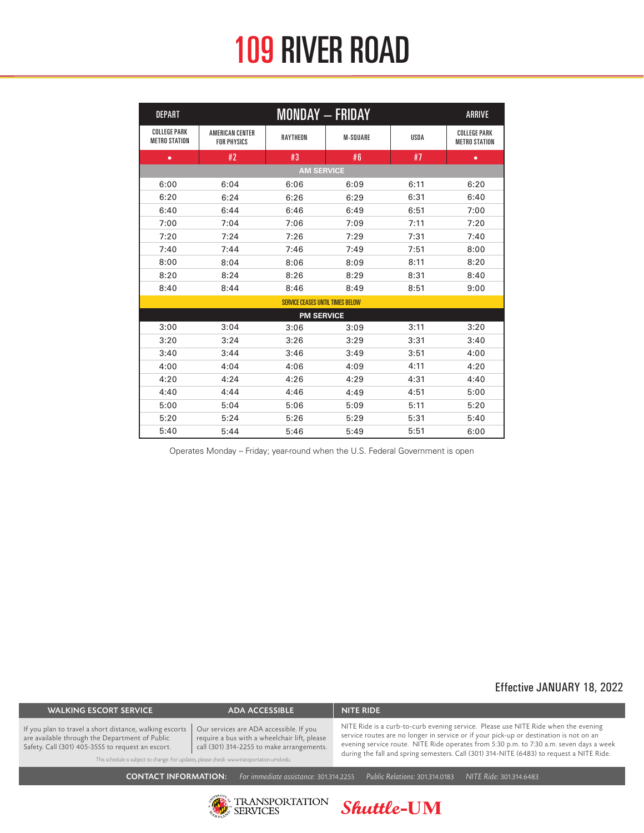## 109 RIVER ROAD

| <b>DEPART</b>                               |                                              | <b>MONDAY - FRIDAY</b> |                 |             | <b>ARRIVE</b>                               |  |  |
|---------------------------------------------|----------------------------------------------|------------------------|-----------------|-------------|---------------------------------------------|--|--|
| <b>COLLEGE PARK</b><br><b>METRO STATION</b> | <b>AMERICAN CENTER</b><br><b>FOR PHYSICS</b> | <b>RAYTHEON</b>        | <b>M-SQUARE</b> | <b>USDA</b> | <b>COLLEGE PARK</b><br><b>METRO STATION</b> |  |  |
| ۰                                           | #2                                           | #3                     | #6              | #7          | $\bullet$                                   |  |  |
| <b>AM SERVICE</b>                           |                                              |                        |                 |             |                                             |  |  |
| 6:00                                        | 6:04                                         | 6:06                   | 6:09            | 6:11        | 6:20                                        |  |  |
| 6:20                                        | 6:24                                         | 6:26                   | 6:29            | 6:31        | 6:40                                        |  |  |
| 6:40                                        | 6:44                                         | 6:46                   | 6:49            | 6:51        | 7:00                                        |  |  |
| 7:00                                        | 7:04                                         | 7:06                   | 7:09            | 7:11        | 7:20                                        |  |  |
| 7:20                                        | 7:24                                         | 7:26                   | 7:29            | 7:31        | 7:40                                        |  |  |
| 7:40                                        | 7:44                                         | 7:46                   | 7:49            | 7:51        | 8:00                                        |  |  |
| 8:00                                        | 8:04                                         | 8:06                   | 8:09            | 8:11        | 8:20                                        |  |  |
| 8:20                                        | 8:24                                         | 8:26                   | 8:29            | 8:31        | 8:40                                        |  |  |
| 8:40                                        | 8:44                                         | 8:46                   | 8:49            | 8:51        | 9:00                                        |  |  |
| <b>SERVICE CEASES UNTIL TIMES BELOW</b>     |                                              |                        |                 |             |                                             |  |  |
| <b>PM SERVICE</b>                           |                                              |                        |                 |             |                                             |  |  |
| 3:00                                        | 3:04                                         | 3:06                   | 3:09            | 3:11        | 3:20                                        |  |  |
| 3:20                                        | 3:24                                         | 3:26                   | 3:29            | 3:31        | 3:40                                        |  |  |
| 3:40                                        | 3:44                                         | 3:46                   | 3:49            | 3:51        | 4:00                                        |  |  |
| 4:00                                        | 4:04                                         | 4:06                   | 4:09            | 4:11        | 4:20                                        |  |  |
| 4:20                                        | 4:24                                         | 4:26                   | 4:29            | 4:31        | 4:40                                        |  |  |
| 4:40                                        | 4:44                                         | 4:46                   | 4:49            | 4:51        | 5:00                                        |  |  |
| 5:00                                        | 5:04                                         | 5:06                   | 5:09            | 5:11        | 5:20                                        |  |  |
| 5:20                                        | 5:24                                         | 5:26                   | 5:29            | 5:31        | 5:40                                        |  |  |
| 5:40                                        | 5:44                                         | 5:46                   | 5:49            | 5:51        | 6:00                                        |  |  |

Operates Monday – Friday; year-round when the U.S. Federal Government is open

#### Effective JANUARY 18, 2022

| <b>WALKING ESCORT SERVICE</b>                                                                                                                                  | <b>ADA ACCESSIBLE</b>                                                                                                                                                                                                             | <b>NITE RIDE</b>                                                                                                                                                                                                                                                                                                                                                    |  |  |  |
|----------------------------------------------------------------------------------------------------------------------------------------------------------------|-----------------------------------------------------------------------------------------------------------------------------------------------------------------------------------------------------------------------------------|---------------------------------------------------------------------------------------------------------------------------------------------------------------------------------------------------------------------------------------------------------------------------------------------------------------------------------------------------------------------|--|--|--|
| If you plan to travel a short distance, walking escorts<br>are available through the Department of Public<br>Safety. Call (301) 405-3555 to request an escort. | Our services are ADA accessible. If you<br>require a bus with a wheelchair lift, please<br>call (301) 314-2255 to make arrangements.<br>This schedule is subject to change. For updates, please check: www.transportation.umd.edu | NITE Ride is a curb-to-curb evening service. Please use NITE Ride when the evening<br>service routes are no longer in service or if your pick-up or destination is not on an<br>evening service route. NITE Ride operates from 5:30 p.m. to 7:30 a.m. seven days a week<br>during the fall and spring semesters. Call (301) 314-NITE (6483) to request a NITE Ride. |  |  |  |
| Public Relations: 301.314.0183<br><b>CONTACT INFORMATION:</b><br>For immediate assistance: 301.314.2255<br>NITE Ride: 301.314.6483                             |                                                                                                                                                                                                                                   |                                                                                                                                                                                                                                                                                                                                                                     |  |  |  |
|                                                                                                                                                                | <b>TRANSPORTATION</b>                                                                                                                                                                                                             | <b>Shuttle-UM</b>                                                                                                                                                                                                                                                                                                                                                   |  |  |  |